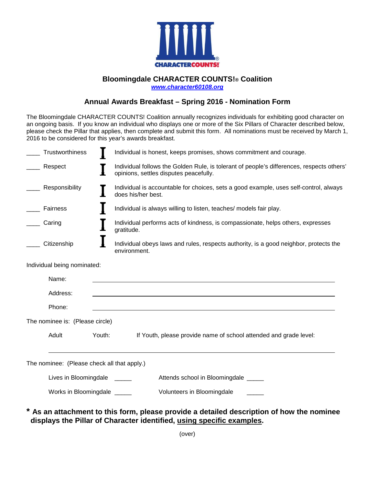

## **Bloomingdale CHARACTER COUNTS!® Coalition** *www.character60108.org*

## **Annual Awards Breakfast – Spring 2016 - Nomination Form**

The Bloomingdale CHARACTER COUNTS! Coalition annually recognizes individuals for exhibiting good character on an ongoing basis. If you know an individual who displays one or more of the Six Pillars of Character described below, please check the Pillar that applies, then complete and submit this form. All nominations must be received by March 1, 2016 to be considered for this year's awards breakfast.

| Trustworthiness                             |        | Individual is honest, keeps promises, shows commitment and courage.                                                                 |
|---------------------------------------------|--------|-------------------------------------------------------------------------------------------------------------------------------------|
| Respect                                     |        | Individual follows the Golden Rule, is tolerant of people's differences, respects others'<br>opinions, settles disputes peacefully. |
| Responsibility                              |        | Individual is accountable for choices, sets a good example, uses self-control, always<br>does his/her best.                         |
| Fairness                                    |        | Individual is always willing to listen, teaches/ models fair play.                                                                  |
| Caring                                      |        | Individual performs acts of kindness, is compassionate, helps others, expresses<br>gratitude.                                       |
| Citizenship                                 |        | Individual obeys laws and rules, respects authority, is a good neighbor, protects the<br>environment.                               |
| Individual being nominated:                 |        |                                                                                                                                     |
| Name:                                       |        |                                                                                                                                     |
| Address:                                    |        |                                                                                                                                     |
| Phone:                                      |        |                                                                                                                                     |
| The nominee is: (Please circle)             |        |                                                                                                                                     |
| Adult                                       | Youth: | If Youth, please provide name of school attended and grade level:                                                                   |
| The nominee: (Please check all that apply.) |        |                                                                                                                                     |
| Lives in Bloomingdale _____                 |        | Attends school in Bloomingdale _____                                                                                                |
| Works in Bloomingdale _____                 |        | Volunteers in Bloomingdale                                                                                                          |
|                                             |        | Ac an attachment to this form, please provide a detailed description of how the nomine                                              |

**\* As an attachment to this form, please provide a detailed description of how the nominee displays the Pillar of Character identified, using specific examples.**